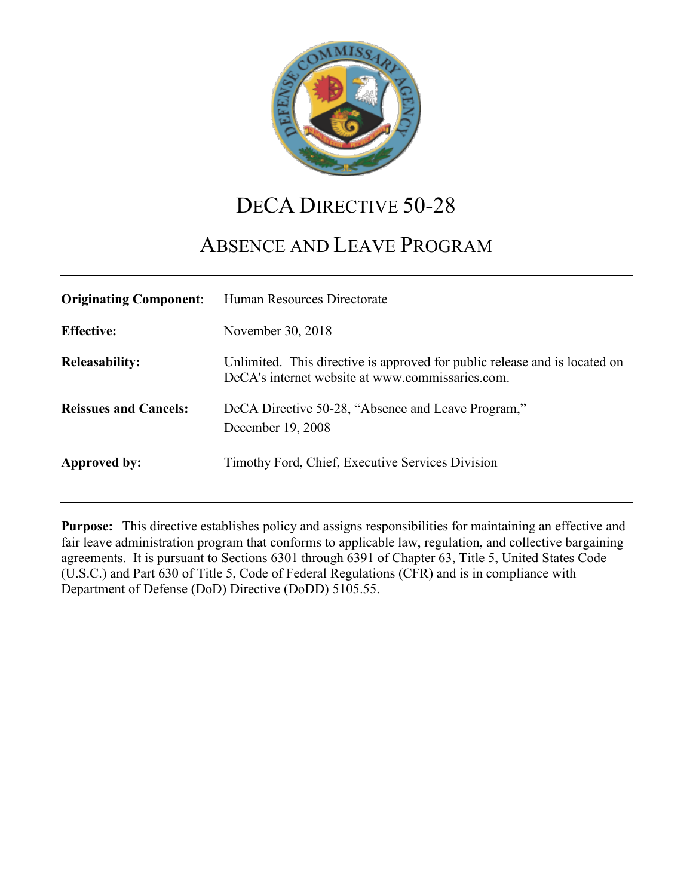

# DECA DIRECTIVE 50-28

# ABSENCE AND LEAVE PROGRAM

| <b>Originating Component:</b> | Human Resources Directorate                                                                                                    |
|-------------------------------|--------------------------------------------------------------------------------------------------------------------------------|
| <b>Effective:</b>             | November 30, 2018                                                                                                              |
| <b>Releasability:</b>         | Unlimited. This directive is approved for public release and is located on<br>DeCA's internet website at www.commissaries.com. |
| <b>Reissues and Cancels:</b>  | DeCA Directive 50-28, "Absence and Leave Program,"<br>December 19, 2008                                                        |
| Approved by:                  | Timothy Ford, Chief, Executive Services Division                                                                               |

**Purpose:** This directive establishes policy and assigns responsibilities for maintaining an effective and fair leave administration program that conforms to applicable law, regulation, and collective bargaining agreements. It is pursuant to Sections 6301 through 6391 of Chapter 63, Title 5, United States Code (U.S.C.) and Part 630 of Title 5, Code of Federal Regulations (CFR) and is in compliance with Department of Defense (DoD) Directive (DoDD) 5105.55.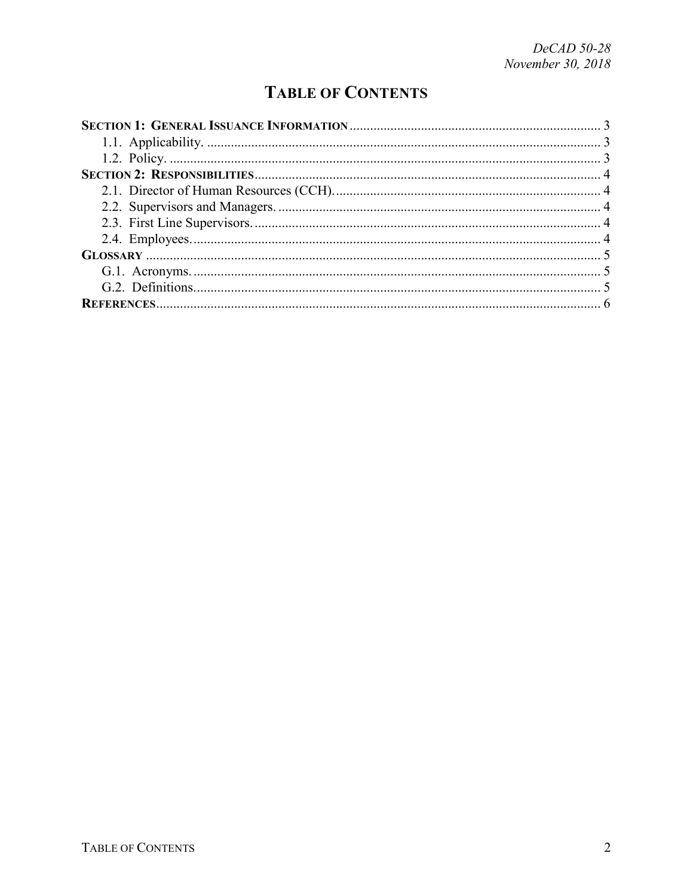## **TABLE OF CONTENTS**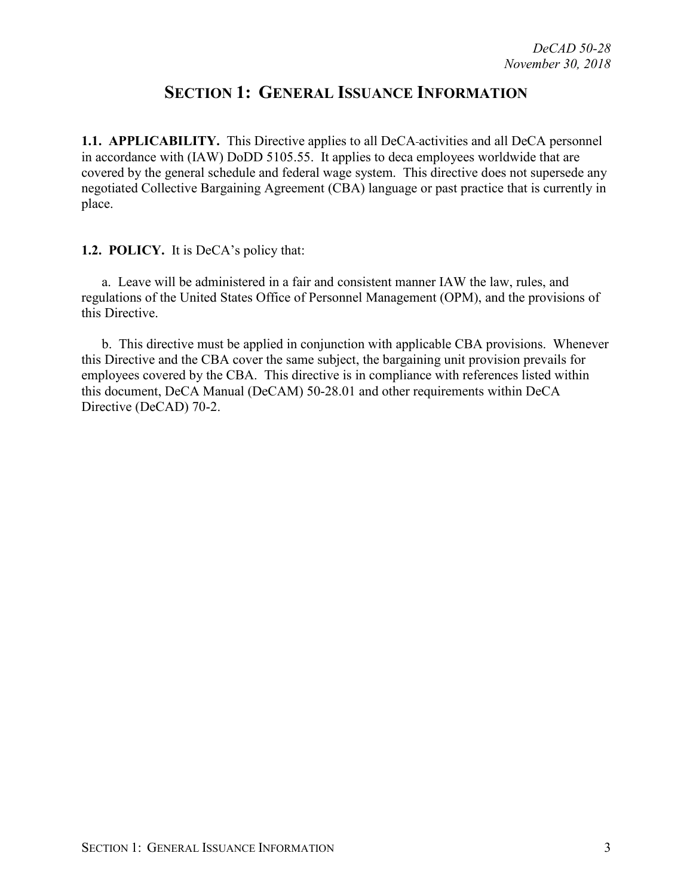## **SECTION 1: GENERAL ISSUANCE INFORMATION**

<span id="page-2-1"></span><span id="page-2-0"></span>**1.1. APPLICABILITY.** This Directive applies to all DeCA-activities and all DeCA personnel in accordance with (IAW) DoDD 5105.55. It applies to deca employees worldwide that are covered by the general schedule and federal wage system. This directive does not supersede any negotiated Collective Bargaining Agreement (CBA) language or past practice that is currently in place.

<span id="page-2-2"></span>**1.2. POLICY.** It is DeCA's policy that:

a. Leave will be administered in a fair and consistent manner IAW the law, rules, and regulations of the United States Office of Personnel Management (OPM), and the provisions of this Directive.

b. This directive must be applied in conjunction with applicable CBA provisions. Whenever this Directive and the CBA cover the same subject, the bargaining unit provision prevails for employees covered by the CBA. This directive is in compliance with references listed within this document, DeCA Manual (DeCAM) 50-28.01 and other requirements within DeCA Directive (DeCAD) 70-2.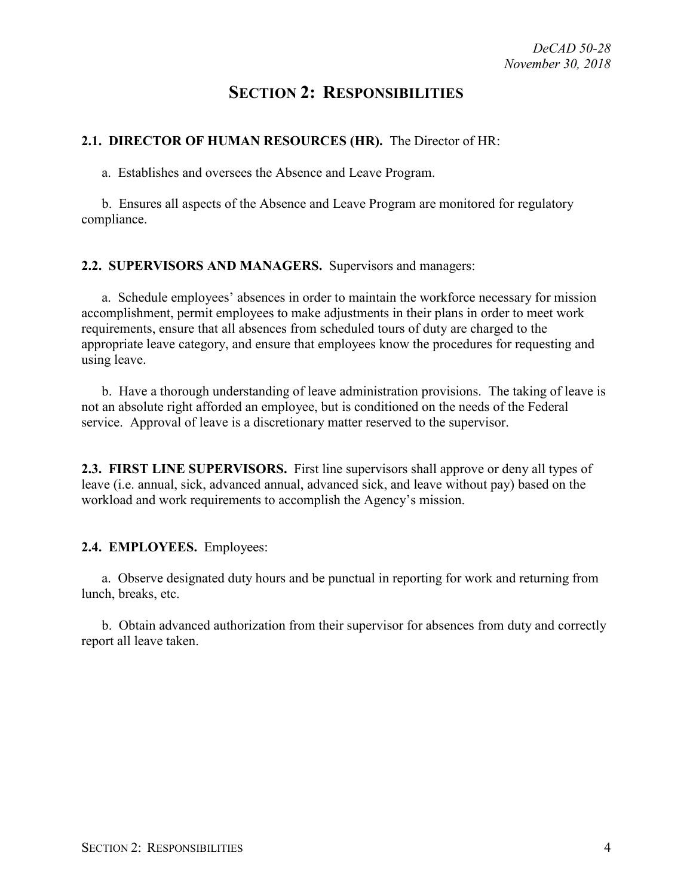## **SECTION 2: RESPONSIBILITIES**

#### <span id="page-3-1"></span><span id="page-3-0"></span>**2.1. DIRECTOR OF HUMAN RESOURCES (HR).** The Director of HR:

a. Establishes and oversees the Absence and Leave Program.

b. Ensures all aspects of the Absence and Leave Program are monitored for regulatory compliance.

#### <span id="page-3-2"></span>**2.2. SUPERVISORS AND MANAGERS.** Supervisors and managers:

a. Schedule employees' absences in order to maintain the workforce necessary for mission accomplishment, permit employees to make adjustments in their plans in order to meet work requirements, ensure that all absences from scheduled tours of duty are charged to the appropriate leave category, and ensure that employees know the procedures for requesting and using leave.

b. Have a thorough understanding of leave administration provisions. The taking of leave is not an absolute right afforded an employee, but is conditioned on the needs of the Federal service. Approval of leave is a discretionary matter reserved to the supervisor.

<span id="page-3-3"></span>**2.3. FIRST LINE SUPERVISORS.** First line supervisors shall approve or deny all types of leave (i.e. annual, sick, advanced annual, advanced sick, and leave without pay) based on the workload and work requirements to accomplish the Agency's mission.

#### <span id="page-3-4"></span>**2.4. EMPLOYEES.** Employees:

a. Observe designated duty hours and be punctual in reporting for work and returning from lunch, breaks, etc.

b. Obtain advanced authorization from their supervisor for absences from duty and correctly report all leave taken.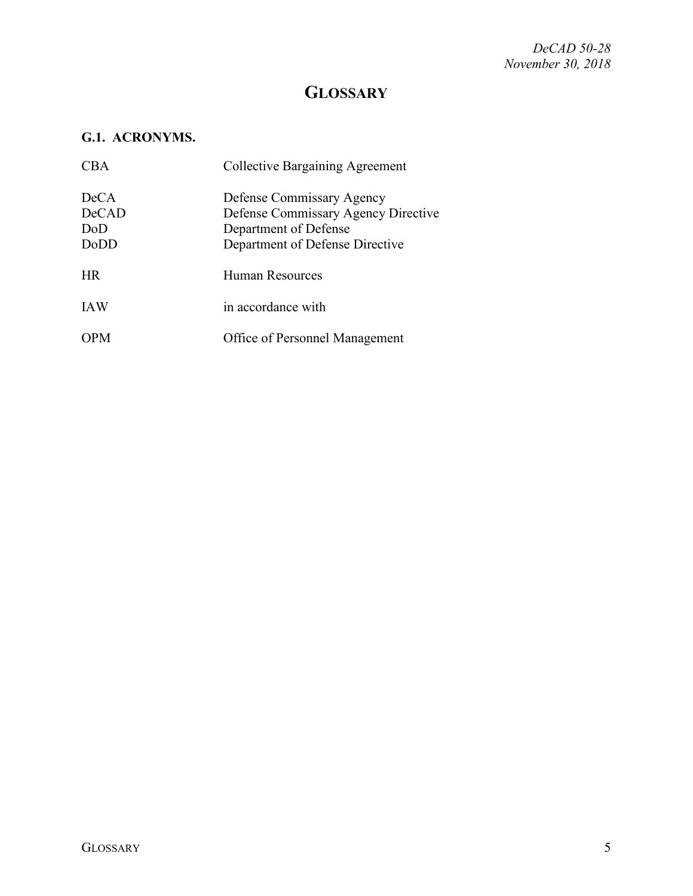## **GLOSSARY**

## <span id="page-4-1"></span><span id="page-4-0"></span>**G.1. ACRONYMS.**

| <b>CBA</b>                   | <b>Collective Bargaining Agreement</b>                                                                                       |
|------------------------------|------------------------------------------------------------------------------------------------------------------------------|
| DeCA<br>DeCAD<br>DoD<br>DoDD | Defense Commissary Agency<br>Defense Commissary Agency Directive<br>Department of Defense<br>Department of Defense Directive |
| <b>HR</b>                    | <b>Human Resources</b>                                                                                                       |
| <b>IAW</b>                   | in accordance with                                                                                                           |
| <b>OPM</b>                   | Office of Personnel Management                                                                                               |